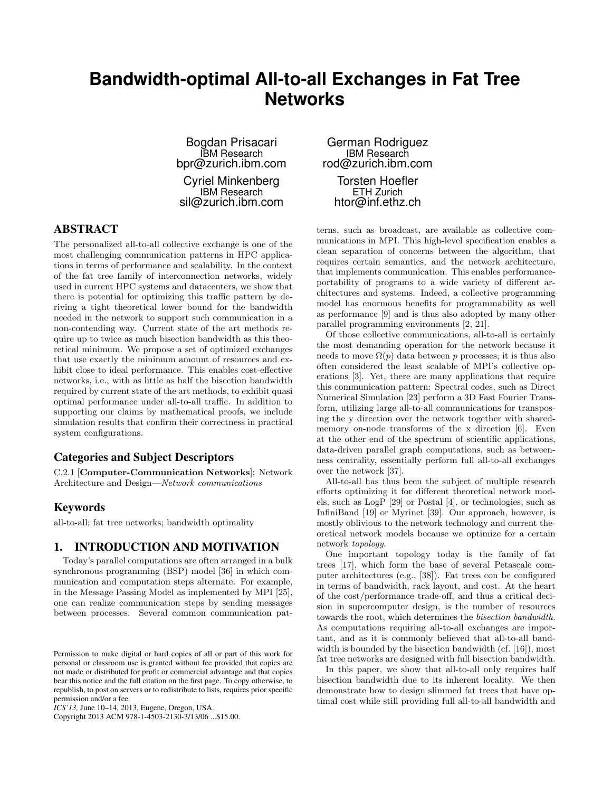# **Bandwidth-optimal All-to-all Exchanges in Fat Tree Networks**

Bogdan Prisacari IBM Research bpr@zurich.ibm.com

Cyriel Minkenberg IBM Research sil@zurich.ibm.com

# ABSTRACT

The personalized all-to-all collective exchange is one of the most challenging communication patterns in HPC applications in terms of performance and scalability. In the context of the fat tree family of interconnection networks, widely used in current HPC systems and datacenters, we show that there is potential for optimizing this traffic pattern by deriving a tight theoretical lower bound for the bandwidth needed in the network to support such communication in a non-contending way. Current state of the art methods require up to twice as much bisection bandwidth as this theoretical minimum. We propose a set of optimized exchanges that use exactly the minimum amount of resources and exhibit close to ideal performance. This enables cost-effective networks, i.e., with as little as half the bisection bandwidth required by current state of the art methods, to exhibit quasi optimal performance under all-to-all traffic. In addition to supporting our claims by mathematical proofs, we include simulation results that confirm their correctness in practical system configurations.

# Categories and Subject Descriptors

C.2.1 [Computer-Communication Networks]: Network Architecture and Design—Network communications

# Keywords

all-to-all; fat tree networks; bandwidth optimality

## 1. INTRODUCTION AND MOTIVATION

Today's parallel computations are often arranged in a bulk synchronous programming (BSP) model [36] in which communication and computation steps alternate. For example, in the Message Passing Model as implemented by MPI [25], one can realize communication steps by sending messages between processes. Several common communication pat-

Copyright 2013 ACM 978-1-4503-2130-3/13/06 ...\$15.00.

German Rodriguez IBM Research rod@zurich.ibm.com Torsten Hoefler ETH Zurich htor@inf.ethz.ch

terns, such as broadcast, are available as collective communications in MPI. This high-level specification enables a clean separation of concerns between the algorithm, that requires certain semantics, and the network architecture, that implements communication. This enables performanceportability of programs to a wide variety of different architectures and systems. Indeed, a collective programming model has enormous benefits for programmability as well as performance [9] and is thus also adopted by many other parallel programming environments [2, 21].

Of those collective communications, all-to-all is certainly the most demanding operation for the network because it needs to move  $\Omega(p)$  data between p processes; it is thus also often considered the least scalable of MPI's collective operations [3]. Yet, there are many applications that require this communication pattern: Spectral codes, such as Direct Numerical Simulation [23] perform a 3D Fast Fourier Transform, utilizing large all-to-all communications for transposing the y direction over the network together with sharedmemory on-node transforms of the x direction [6]. Even at the other end of the spectrum of scientific applications, data-driven parallel graph computations, such as betweenness centrality, essentially perform full all-to-all exchanges over the network [37].

All-to-all has thus been the subject of multiple research efforts optimizing it for different theoretical network models, such as LogP [29] or Postal [4], or technologies, such as InfiniBand [19] or Myrinet [39]. Our approach, however, is mostly oblivious to the network technology and current theoretical network models because we optimize for a certain network topology.

One important topology today is the family of fat trees [17], which form the base of several Petascale computer architectures (e.g., [38]). Fat trees con be configured in terms of bandwidth, rack layout, and cost. At the heart of the cost/performance trade-off, and thus a critical decision in supercomputer design, is the number of resources towards the root, which determines the bisection bandwidth. As computations requiring all-to-all exchanges are important, and as it is commonly believed that all-to-all bandwidth is bounded by the bisection bandwidth (cf. [16]), most fat tree networks are designed with full bisection bandwidth.

In this paper, we show that all-to-all only requires half bisection bandwidth due to its inherent locality. We then demonstrate how to design slimmed fat trees that have optimal cost while still providing full all-to-all bandwidth and

Permission to make digital or hard copies of all or part of this work for personal or classroom use is granted without fee provided that copies are not made or distributed for profit or commercial advantage and that copies bear this notice and the full citation on the first page. To copy otherwise, to republish, to post on servers or to redistribute to lists, requires prior specific permission and/or a fee.

*ICS'13,* June 10–14, 2013, Eugene, Oregon, USA.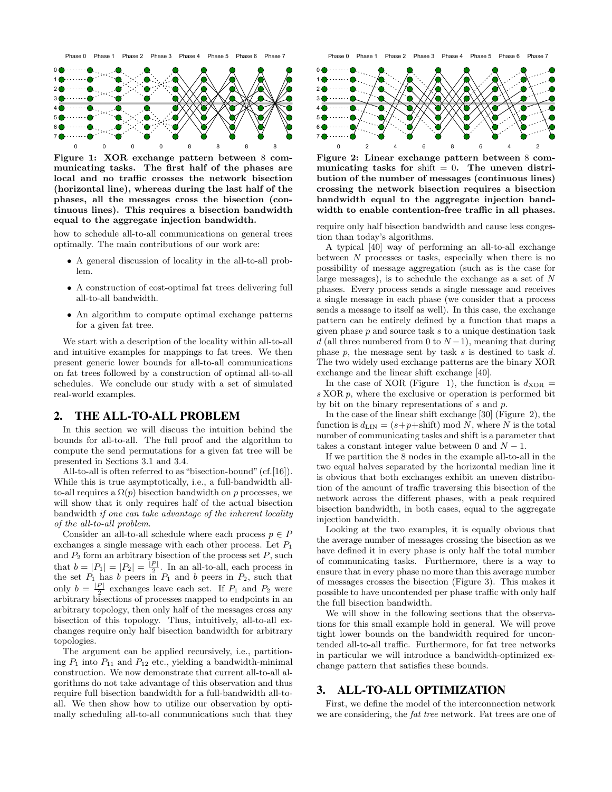

Figure 1: XOR exchange pattern between 8 communicating tasks. The first half of the phases are local and no traffic crosses the network bisection (horizontal line), whereas during the last half of the phases, all the messages cross the bisection (continuous lines). This requires a bisection bandwidth equal to the aggregate injection bandwidth.

how to schedule all-to-all communications on general trees optimally. The main contributions of our work are:

- A general discussion of locality in the all-to-all problem.
- A construction of cost-optimal fat trees delivering full all-to-all bandwidth.
- An algorithm to compute optimal exchange patterns for a given fat tree.

We start with a description of the locality within all-to-all and intuitive examples for mappings to fat trees. We then present generic lower bounds for all-to-all communications on fat trees followed by a construction of optimal all-to-all schedules. We conclude our study with a set of simulated real-world examples.

#### 2. THE ALL-TO-ALL PROBLEM

In this section we will discuss the intuition behind the bounds for all-to-all. The full proof and the algorithm to compute the send permutations for a given fat tree will be presented in Sections 3.1 and 3.4.

All-to-all is often referred to as "bisection-bound" (cf. [16]). While this is true asymptotically, i.e., a full-bandwidth allto-all requires a  $\Omega(p)$  bisection bandwidth on p processes, we will show that it only requires half of the actual bisection bandwidth if one can take advantage of the inherent locality of the all-to-all problem.

Consider an all-to-all schedule where each process  $p \in P$ exchanges a single message with each other process. Let  $P_1$ and  $P_2$  form an arbitrary bisection of the process set  $P$ , such that  $b = |P_1| = |P_2| = \frac{|P|}{2}$ . In an all-to-all, each process in the set  $P_1$  has b peers in  $P_1$  and b peers in  $P_2$ , such that only  $b = \frac{|P|}{2}$  exchanges leave each set. If  $P_1$  and  $P_2$  were arbitrary bisections of processes mapped to endpoints in an arbitrary topology, then only half of the messages cross any bisection of this topology. Thus, intuitively, all-to-all exchanges require only half bisection bandwidth for arbitrary topologies.

The argument can be applied recursively, i.e., partitioning  $P_1$  into  $P_{11}$  and  $P_{12}$  etc., yielding a bandwidth-minimal construction. We now demonstrate that current all-to-all algorithms do not take advantage of this observation and thus require full bisection bandwidth for a full-bandwidth all-toall. We then show how to utilize our observation by optimally scheduling all-to-all communications such that they



Figure 2: Linear exchange pattern between 8 communicating tasks for shift  $= 0$ . The uneven distribution of the number of messages (continuous lines) crossing the network bisection requires a bisection bandwidth equal to the aggregate injection bandwidth to enable contention-free traffic in all phases.

require only half bisection bandwidth and cause less congestion than today's algorithms.

A typical [40] way of performing an all-to-all exchange between  $N$  processes or tasks, especially when there is no possibility of message aggregation (such as is the case for large messages), is to schedule the exchange as a set of N phases. Every process sends a single message and receives a single message in each phase (we consider that a process sends a message to itself as well). In this case, the exchange pattern can be entirely defined by a function that maps a given phase  $p$  and source task  $s$  to a unique destination task d (all three numbered from 0 to  $N-1$ ), meaning that during phase  $p$ , the message sent by task  $s$  is destined to task  $d$ . The two widely used exchange patterns are the binary XOR exchange and the linear shift exchange [40].

In the case of XOR (Figure 1), the function is  $d_{XOR}$  = s XOR p, where the exclusive or operation is performed bit by bit on the binary representations of s and p.

In the case of the linear shift exchange [30] (Figure 2), the function is  $d_{\text{LIN}} = (s+p+\text{shift}) \mod N$ , where N is the total number of communicating tasks and shift is a parameter that takes a constant integer value between 0 and  $N - 1$ .

If we partition the 8 nodes in the example all-to-all in the two equal halves separated by the horizontal median line it is obvious that both exchanges exhibit an uneven distribution of the amount of traffic traversing this bisection of the network across the different phases, with a peak required bisection bandwidth, in both cases, equal to the aggregate injection bandwidth.

Looking at the two examples, it is equally obvious that the average number of messages crossing the bisection as we have defined it in every phase is only half the total number of communicating tasks. Furthermore, there is a way to ensure that in every phase no more than this average number of messages crosses the bisection (Figure 3). This makes it possible to have uncontended per phase traffic with only half the full bisection bandwidth.

We will show in the following sections that the observations for this small example hold in general. We will prove tight lower bounds on the bandwidth required for uncontended all-to-all traffic. Furthermore, for fat tree networks in particular we will introduce a bandwidth-optimized exchange pattern that satisfies these bounds.

# 3. ALL-TO-ALL OPTIMIZATION

First, we define the model of the interconnection network we are considering, the fat tree network. Fat trees are one of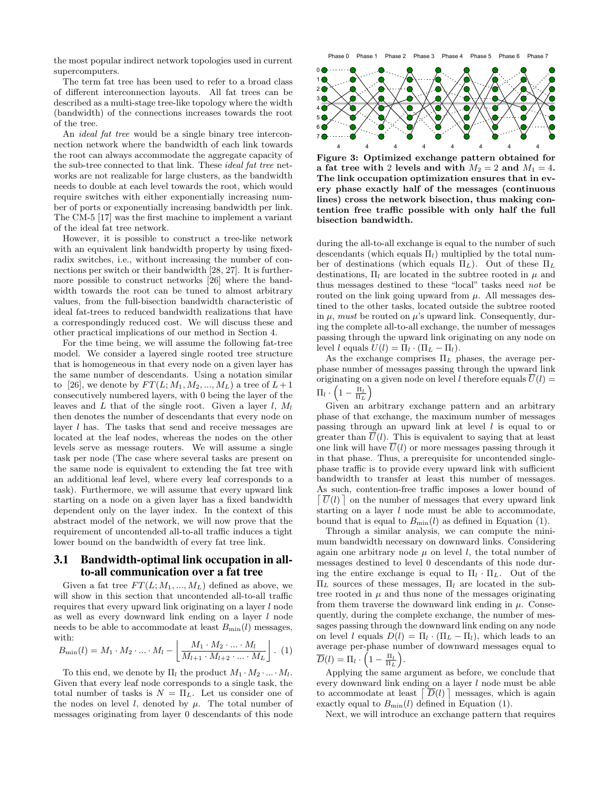the most popular indirect network topologies used in current supercomputers.

The term fat tree has been used to refer to a broad class of different interconnection layouts. All fat trees can be described as a multi-stage tree-like topology where the width (bandwidth) of the connections increases towards the root of the tree.

An *ideal fat tree* would be a single binary tree interconnection network where the bandwidth of each link towards the root can always accommodate the aggregate capacity of the sub-tree connected to that link. These *ideal fat tree* networks are not realizable for large clusters, as the bandwidth needs to double at each level towards the root, which would require switches with either exponentially increasing number of ports or exponentially increasing bandwidth per link. The CM-5 [17] was the first machine to implement a variant of the ideal fat tree network.

However, it is possible to construct a tree-like network with an equivalent link bandwidth property by using fixedradix switches, i.e., without increasing the number of connections per switch or their bandwidth [28, 27]. It is furthermore possible to construct networks [26] where the bandwidth towards the root can be tuned to almost arbitrary values, from the full-bisection bandwidth characteristic of ideal fat-trees to reduced bandwidth realizations that have a correspondingly reduced cost. We will discuss these and other practical implications of our method in Section 4.

For the time being, we will assume the following fat-tree model. We consider a layered single rooted tree structure that is homogeneous in that every node on a given layer has the same number of descendants. Using a notation similar to [26], we denote by  $FT(L; M_1, M_2, ..., M_L)$  a tree of  $L+1$ consecutively numbered layers, with 0 being the layer of the leaves and  $L$  that of the single root. Given a layer  $l, M_l$ then denotes the number of descendants that every node on layer l has. The tasks that send and receive messages are located at the leaf nodes, whereas the nodes on the other levels serve as message routers. We will assume a single task per node (The case where several tasks are present on the same node is equivalent to extending the fat tree with an additional leaf level, where every leaf corresponds to a task). Furthermore, we will assume that every upward link starting on a node on a given layer has a fixed bandwidth dependent only on the layer index. In the context of this abstract model of the network, we will now prove that the requirement of uncontended all-to-all traffic induces a tight lower bound on the bandwidth of every fat tree link.

## 3.1 Bandwidth-optimal link occupation in allto-all communication over a fat tree

Given a fat tree  $FT(L; M_1, ..., M_L)$  defined as above, we will show in this section that uncontended all-to-all traffic requires that every upward link originating on a layer l node as well as every downward link ending on a layer l node needs to be able to accommodate at least  $B_{\text{min}}(l)$  messages, with:

$$
B_{\min}(l) = M_1 \cdot M_2 \cdot ... \cdot M_l - \left[ \frac{M_1 \cdot M_2 \cdot ... \cdot M_l}{M_{l+1} \cdot M_{l+2} \cdot ... \cdot M_L} \right]. (1)
$$

To this end, we denote by  $\Pi_l$  the product  $M_1 \cdot M_2 \cdot ... \cdot M_l$ . Given that every leaf node corresponds to a single task, the total number of tasks is  $N = \Pi_L$ . Let us consider one of the nodes on level  $l$ , denoted by  $\mu$ . The total number of messages originating from layer 0 descendants of this node



Figure 3: Optimized exchange pattern obtained for a fat tree with 2 levels and with  $M_2 = 2$  and  $M_1 = 4$ . The link occupation optimization ensures that in every phase exactly half of the messages (continuous lines) cross the network bisection, thus making contention free traffic possible with only half the full bisection bandwidth.

during the all-to-all exchange is equal to the number of such descendants (which equals  $\Pi_l$ ) multiplied by the total number of destinations (which equals  $\Pi_L$ ). Out of these  $\Pi_L$ destinations,  $\Pi_l$  are located in the subtree rooted in  $\mu$  and thus messages destined to these "local" tasks need not be routed on the link going upward from  $\mu$ . All messages destined to the other tasks, located outside the subtree rooted in  $\mu$ , must be routed on  $\mu$ 's upward link. Consequently, during the complete all-to-all exchange, the number of messages passing through the upward link originating on any node on level l equals  $U(l) = \Pi_l \cdot (\Pi_L - \Pi_l)$ .

As the exchange comprises  $\Pi_L$  phases, the average perphase number of messages passing through the upward link originating on a given node on level l therefore equals  $U(l)$  =  $\Pi_l \cdot \left(1 - \frac{\Pi_l}{\Pi_L}\right)$ 

Given an arbitrary exchange pattern and an arbitrary phase of that exchange, the maximum number of messages passing through an upward link at level  $l$  is equal to or greater than  $\overline{U}(l)$ . This is equivalent to saying that at least one link will have  $\overline{U}(l)$  or more messages passing through it in that phase. Thus, a prerequisite for uncontended singlephase traffic is to provide every upward link with sufficient bandwidth to transfer at least this number of messages. As such, contention-free traffic imposes a lower bound of  $\lceil \overline{U}(l) \rceil$  on the number of messages that every upward link starting on a layer  $l$  node must be able to accommodate, bound that is equal to  $B_{\text{min}}(l)$  as defined in Equation (1).

Through a similar analysis, we can compute the minimum bandwidth necessary on downward links. Considering again one arbitrary node  $\mu$  on level *l*, the total number of messages destined to level 0 descendants of this node during the entire exchange is equal to  $\Pi_l \cdot \Pi_L$ . Out of the  $\Pi_L$  sources of these messages,  $\Pi_l$  are located in the subtree rooted in  $\mu$  and thus none of the messages originating from them traverse the downward link ending in  $\mu$ . Consequently, during the complete exchange, the number of messages passing through the downward link ending on any node on level l equals  $D(l) = \Pi_l \cdot (\Pi_L - \Pi_l)$ , which leads to an average per-phase number of downward messages equal to  $\overline{D}(l) = \Pi_l \cdot \left(1 - \frac{\Pi_l}{\Pi_L}\right).$ 

Applying the same argument as before, we conclude that every downward link ending on a layer  $l$  node must be able to accommodate at least  $\lceil \overline{D}(l) \rceil$  messages, which is again exactly equal to  $B_{\text{min}}(l)$  defined in Equation (1).

Next, we will introduce an exchange pattern that requires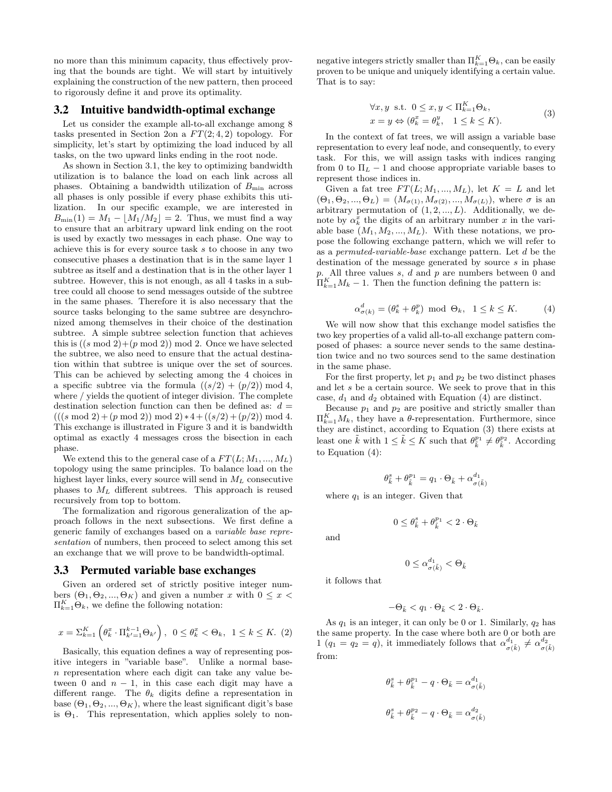no more than this minimum capacity, thus effectively proving that the bounds are tight. We will start by intuitively explaining the construction of the new pattern, then proceed to rigorously define it and prove its optimality.

#### 3.2 Intuitive bandwidth-optimal exchange

Let us consider the example all-to-all exchange among 8 tasks presented in Section 2on a  $FT(2, 4, 2)$  topology. For simplicity, let's start by optimizing the load induced by all tasks, on the two upward links ending in the root node.

As shown in Section 3.1, the key to optimizing bandwidth utilization is to balance the load on each link across all phases. Obtaining a bandwidth utilization of  $B_{\text{min}}$  across all phases is only possible if every phase exhibits this utilization. In our specific example, we are interested in  $B_{\min}(1) = M_1 - |M_1/M_2| = 2$ . Thus, we must find a way to ensure that an arbitrary upward link ending on the root is used by exactly two messages in each phase. One way to achieve this is for every source task s to choose in any two consecutive phases a destination that is in the same layer 1 subtree as itself and a destination that is in the other layer 1 subtree. However, this is not enough, as all 4 tasks in a subtree could all choose to send messages outside of the subtree in the same phases. Therefore it is also necessary that the source tasks belonging to the same subtree are desynchronized among themselves in their choice of the destination subtree. A simple subtree selection function that achieves this is  $((s \mod 2)+(p \mod 2)) \mod 2$ . Once we have selected the subtree, we also need to ensure that the actual destination within that subtree is unique over the set of sources. This can be achieved by selecting among the 4 choices in a specific subtree via the formula  $((s/2) + (p/2)) \mod 4$ , where / yields the quotient of integer division. The complete destination selection function can then be defined as:  $d =$  $(((s \mod 2) + (p \mod 2)) \mod 2) * 4 + ((s/2) + (p/2)) \mod 4.$ This exchange is illustrated in Figure 3 and it is bandwidth optimal as exactly 4 messages cross the bisection in each phase.

We extend this to the general case of a  $FT(L; M_1, ..., M_L)$ topology using the same principles. To balance load on the highest layer links, every source will send in  $M_L$  consecutive phases to  $M_L$  different subtrees. This approach is reused recursively from top to bottom.

The formalization and rigorous generalization of the approach follows in the next subsections. We first define a generic family of exchanges based on a variable base representation of numbers, then proceed to select among this set an exchange that we will prove to be bandwidth-optimal.

## 3.3 Permuted variable base exchanges

Given an ordered set of strictly positive integer numbers  $(\Theta_1, \Theta_2, ..., \Theta_K)$  and given a number x with  $0 \leq x$  $\Pi_{k=1}^K \Theta_k$ , we define the following notation:

$$
x = \sum_{k=1}^{K} \left( \theta_k^x \cdot \Pi_{k'=1}^{k-1} \Theta_{k'} \right), \ 0 \le \theta_k^x < \Theta_k, \ 1 \le k \le K. \tag{2}
$$

Basically, this equation defines a way of representing positive integers in "variable base". Unlike a normal basen representation where each digit can take any value between 0 and  $n - 1$ , in this case each digit may have a different range. The  $\theta_k$  digits define a representation in base  $(\Theta_1, \Theta_2, ..., \Theta_K)$ , where the least significant digit's base is  $\Theta_1$ . This representation, which applies solely to non-

negative integers strictly smaller than  $\Pi_{k=1}^K \Theta_k$ , can be easily proven to be unique and uniquely identifying a certain value. That is to say:

$$
\forall x, y \text{ s.t. } 0 \le x, y < \Pi_{k=1}^{K} \Theta_{k},
$$
  
\n
$$
x = y \Leftrightarrow (\theta_{k}^{x} = \theta_{k}^{y}, \quad 1 \le k \le K).
$$
 (3)

In the context of fat trees, we will assign a variable base representation to every leaf node, and consequently, to every task. For this, we will assign tasks with indices ranging from 0 to  $\Pi_L - 1$  and choose appropriate variable bases to represent those indices in.

Given a fat tree  $FT(L; M_1, ..., M_L)$ , let  $K = L$  and let  $(\Theta_1, \Theta_2, ..., \Theta_L) = (M_{\sigma(1)}, M_{\sigma(2)}, ..., M_{\sigma(L)})$ , where  $\sigma$  is an arbitrary permutation of  $(1, 2, ..., L)$ . Additionally, we denote by  $\alpha_k^x$  the digits of an arbitrary number x in the variable base  $(M_1, M_2, ..., M_L)$ . With these notations, we propose the following exchange pattern, which we will refer to as a permuted-variable-base exchange pattern. Let d be the destination of the message generated by source  $s$  in phase p. All three values s, d and p are numbers between 0 and  $\Pi_{k=1}^K M_k - 1$ . Then the function defining the pattern is:

$$
\alpha_{\sigma(k)}^d = (\theta_k^s + \theta_k^p) \mod \Theta_k, \quad 1 \le k \le K. \tag{4}
$$

We will now show that this exchange model satisfies the two key properties of a valid all-to-all exchange pattern composed of phases: a source never sends to the same destination twice and no two sources send to the same destination in the same phase.

For the first property, let  $p_1$  and  $p_2$  be two distinct phases and let s be a certain source. We seek to prove that in this case,  $d_1$  and  $d_2$  obtained with Equation (4) are distinct.

Because  $p_1$  and  $p_2$  are positive and strictly smaller than  $\Pi_{k=1}^K M_k$ , they have a θ-representation. Furthermore, since they are distinct, according to Equation (3) there exists at least one  $\tilde{k}$  with  $1 \leq \tilde{k} \leq K$  such that  $\theta_{\tilde{k}}^{p_1} \neq \theta_{\tilde{k}}^{p_2}$ . According to Equation (4):

$$
\theta_{\tilde{k}}^s + \theta_{\tilde{k}}^{p_1} = q_1 \cdot \Theta_{\tilde{k}} + \alpha_{\sigma(\tilde{k})}^{d_1}
$$

where  $q_1$  is an integer. Given that

$$
0\leq \theta^s_{\tilde{k}}+\theta^{p_1}_{\tilde{k}}<2\cdot\Theta_{\tilde{k}}
$$

and

$$
0 \leq \alpha^{d_1}_{\sigma(\tilde{k})} < \Theta_{\tilde{k}}
$$

it follows that

$$
-\Theta_{\tilde{k}} < q_1 \cdot \Theta_{\tilde{k}} < 2 \cdot \Theta_{\tilde{k}}.
$$

As  $q_1$  is an integer, it can only be 0 or 1. Similarly,  $q_2$  has the same property. In the case where both are 0 or both are 1  $(q_1 = q_2 = q)$ , it immediately follows that  $\alpha^{d_1}_{\sigma(\tilde{k})} \neq \alpha^{d_2}_{\sigma(\tilde{k})}$ from:

$$
\theta_{\tilde{k}}^s + \theta_{\tilde{k}}^{p_1} - q \cdot \Theta_{\tilde{k}} = \alpha_{\sigma(\tilde{k})}^{d_1}
$$

$$
\theta_{\tilde{k}}^s + \theta_{\tilde{k}}^{p_2} - q \cdot \Theta_{\tilde{k}} = \alpha_{\sigma(\tilde{k})}^{d_2}
$$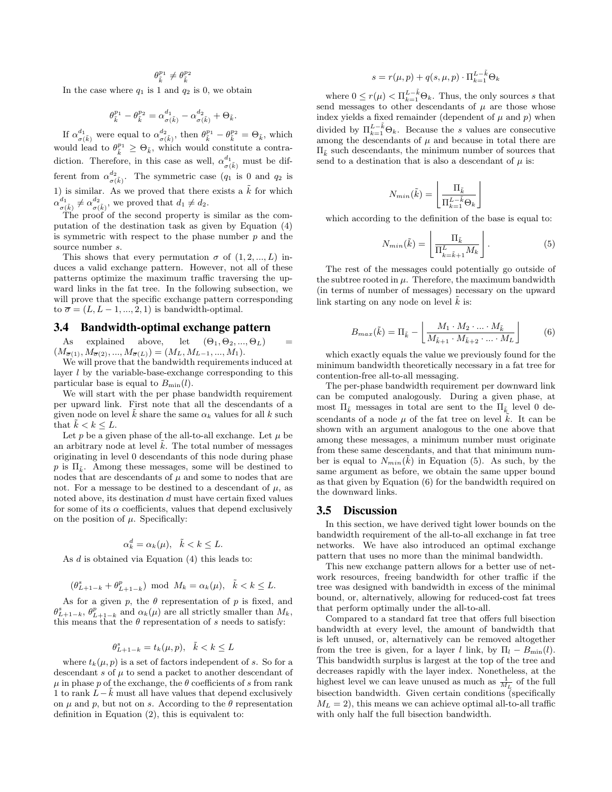$\theta_{\tilde{k}}^{p_1} \neq \theta_{\tilde{k}}^{p_2}$ 

In the case where  $q_1$  is 1 and  $q_2$  is 0, we obtain

$$
\theta^{p_1}_{\tilde{k}}-\theta^{p_2}_{\tilde{k}}=\alpha^{d_1}_{\sigma(\tilde{k})}-\alpha^{d_2}_{\sigma(\tilde{k})}+\Theta_{\tilde{k}}.
$$

If  $\alpha_{\sigma(\tilde{k})}^{d_1}$  were equal to  $\alpha_{\sigma(\tilde{k})}^{d_2}$ , then  $\theta_{\tilde{k}}^{p_1} - \theta_{\tilde{k}}^{p_2} = \Theta_{\tilde{k}}$ , which would lead to  $\theta_{\tilde{k}}^{p_1} \geq \Theta_{\tilde{k}}$ , which would constitute a contradiction. Therefore, in this case as well,  $\alpha_{\sigma(\tilde{k})}^{d_1}$  must be different from  $\alpha_{\sigma(\tilde{k})}^{d_2}$ . The symmetric case  $(q_1$  is 0 and  $q_2$  is 1) is similar. As we proved that there exists a  $\bar{k}$  for which  $\alpha_{\sigma(\tilde{k})}^{d_1} \neq \alpha_{\sigma(\tilde{k})}^{d_2}$ , we proved that  $d_1 \neq d_2$ .

The proof of the second property is similar as the computation of the destination task as given by Equation (4) is symmetric with respect to the phase number  $p$  and the source number  $s$ .

This shows that every permutation  $\sigma$  of  $(1, 2, ..., L)$  induces a valid exchange pattern. However, not all of these patterns optimize the maximum traffic traversing the upward links in the fat tree. In the following subsection, we will prove that the specific exchange pattern corresponding to  $\overline{\sigma} = (L, L-1, ..., 2, 1)$  is bandwidth-optimal.

## 3.4 Bandwidth-optimal exchange pattern

As explained above, let  $(\Theta_1, \Theta_2, ..., \Theta_L)$  =  $(M_{\overline{\sigma}(1)}, M_{\overline{\sigma}(2)}, ..., M_{\overline{\sigma}(L)}) = (M_L, M_{L-1}, ..., M_1).$ 

We will prove that the bandwidth requirements induced at layer  $l$  by the variable-base-exchange corresponding to this particular base is equal to  $B_{\text{min}}(l)$ .

We will start with the per phase bandwidth requirement per upward link. First note that all the descendants of a given node on level k share the same  $\alpha_k$  values for all k such that  $k < k \leq L$ .

Let p be a given phase of the all-to-all exchange. Let  $\mu$  be an arbitrary node at level  $\tilde{k}$ . The total number of messages originating in level 0 descendants of this node during phase p is  $\Pi_{\tilde{\imath}}$ . Among these messages, some will be destined to nodes that are descendants of  $\mu$  and some to nodes that are not. For a message to be destined to a descendant of  $\mu$ , as noted above, its destination d must have certain fixed values for some of its  $\alpha$  coefficients, values that depend exclusively on the position of  $\mu$ . Specifically:

$$
\alpha_k^d = \alpha_k(\mu), \quad \tilde{k} < k \leq L.
$$

As d is obtained via Equation (4) this leads to:

$$
(\theta_{L+1-k}^s + \theta_{L+1-k}^p) \text{ mod } M_k = \alpha_k(\mu), \quad \tilde{k} < k \le L.
$$

As for a given p, the  $\theta$  representation of p is fixed, and  $\theta_{L+1-k}^s$ ,  $\theta_{L+1-k}^p$  and  $\alpha_k(\mu)$  are all strictly smaller than  $M_k$ , this means that the  $\theta$  representation of s needs to satisfy:

$$
\theta_{L+1-k}^s = t_k(\mu, p), \quad \tilde{k} < k \le L
$$

where  $t_k(\mu, p)$  is a set of factors independent of s. So for a descendant s of  $\mu$  to send a packet to another descendant of  $\mu$  in phase p of the exchange, the  $\theta$  coefficients of s from rank 1 to rank  $L-k$  must all have values that depend exclusively on  $\mu$  and  $p$ , but not on s. According to the  $\theta$  representation definition in Equation (2), this is equivalent to:

$$
s = r(\mu, p) + q(s, \mu, p) \cdot \Pi_{k=1}^{L - \tilde{k}} \Theta_k
$$

where  $0 \leq r(\mu) < \prod_{k=1}^{L-\tilde{k}} \Theta_k$ . Thus, the only sources s that send messages to other descendants of  $\mu$  are those whose index yields a fixed remainder (dependent of  $\mu$  and  $p$ ) when divided by  $\Pi_{k=1}^{L-\tilde{k}}\Theta_k$ . Because the s values are consecutive among the descendants of  $\mu$  and because in total there are  $\Pi_{\tilde{\imath}}$  such descendants, the minimum number of sources that send to a destination that is also a descendant of  $\mu$  is:

$$
N_{min}(\tilde{k}) = \left\lfloor \frac{\Pi_{\tilde{k}}}{\Pi_{k=1}^{L-\tilde{k}} \Theta_k} \right\rfloor
$$

which according to the definition of the base is equal to:

$$
N_{min}(\tilde{k}) = \left\lfloor \frac{\Pi_{\tilde{k}}}{\Pi_{k=\tilde{k}+1}^L M_k} \right\rfloor.
$$
 (5)

The rest of the messages could potentially go outside of the subtree rooted in  $\mu$ . Therefore, the maximum bandwidth (in terms of number of messages) necessary on the upward link starting on any node on level  $\tilde{k}$  is:

$$
B_{max}(\tilde{k}) = \Pi_{\tilde{k}} - \left[ \frac{M_1 \cdot M_2 \cdot ... \cdot M_{\tilde{k}}}{M_{\tilde{k}+1} \cdot M_{\tilde{k}+2} \cdot ... \cdot M_L} \right]
$$
(6)

which exactly equals the value we previously found for the minimum bandwidth theoretically necessary in a fat tree for contention-free all-to-all messaging.

The per-phase bandwidth requirement per downward link can be computed analogously. During a given phase, at most  $\Pi_{\tilde{k}}$  messages in total are sent to the  $\Pi_{\tilde{k}}$  level 0 descendants of a node  $\mu$  of the fat tree on level k. It can be shown with an argument analogous to the one above that among these messages, a minimum number must originate from these same descendants, and that that minimum number is equal to  $N_{min}(\tilde{k})$  in Equation (5). As such, by the same argument as before, we obtain the same upper bound as that given by Equation (6) for the bandwidth required on the downward links.

#### 3.5 Discussion

In this section, we have derived tight lower bounds on the bandwidth requirement of the all-to-all exchange in fat tree networks. We have also introduced an optimal exchange pattern that uses no more than the minimal bandwidth.

This new exchange pattern allows for a better use of network resources, freeing bandwidth for other traffic if the tree was designed with bandwidth in excess of the minimal bound, or, alternatively, allowing for reduced-cost fat trees that perform optimally under the all-to-all.

Compared to a standard fat tree that offers full bisection bandwidth at every level, the amount of bandwidth that is left unused, or, alternatively can be removed altogether from the tree is given, for a layer l link, by  $\Pi_l - B_{\text{min}}(l)$ . This bandwidth surplus is largest at the top of the tree and decreases rapidly with the layer index. Nonetheless, at the highest level we can leave unused as much as  $\frac{1}{M_L}$  of the full bisection bandwidth. Given certain conditions (specifically  $M_L = 2$ , this means we can achieve optimal all-to-all traffic with only half the full bisection bandwidth.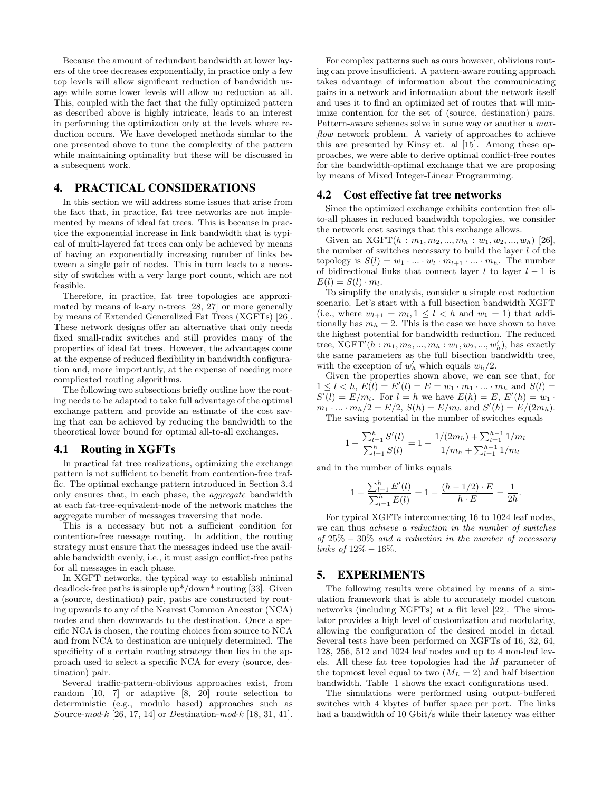Because the amount of redundant bandwidth at lower layers of the tree decreases exponentially, in practice only a few top levels will allow significant reduction of bandwidth usage while some lower levels will allow no reduction at all. This, coupled with the fact that the fully optimized pattern as described above is highly intricate, leads to an interest in performing the optimization only at the levels where reduction occurs. We have developed methods similar to the one presented above to tune the complexity of the pattern while maintaining optimality but these will be discussed in a subsequent work.

# 4. PRACTICAL CONSIDERATIONS

In this section we will address some issues that arise from the fact that, in practice, fat tree networks are not implemented by means of ideal fat trees. This is because in practice the exponential increase in link bandwidth that is typical of multi-layered fat trees can only be achieved by means of having an exponentially increasing number of links between a single pair of nodes. This in turn leads to a necessity of switches with a very large port count, which are not feasible.

Therefore, in practice, fat tree topologies are approximated by means of k-ary n-trees [28, 27] or more generally by means of Extended Generalized Fat Trees (XGFTs) [26]. These network designs offer an alternative that only needs fixed small-radix switches and still provides many of the properties of ideal fat trees. However, the advantages come at the expense of reduced flexibility in bandwidth configuration and, more importantly, at the expense of needing more complicated routing algorithms.

The following two subsections briefly outline how the routing needs to be adapted to take full advantage of the optimal exchange pattern and provide an estimate of the cost saving that can be achieved by reducing the bandwidth to the theoretical lower bound for optimal all-to-all exchanges.

#### 4.1 Routing in XGFTs

In practical fat tree realizations, optimizing the exchange pattern is not sufficient to benefit from contention-free traffic. The optimal exchange pattern introduced in Section 3.4 only ensures that, in each phase, the aggregate bandwidth at each fat-tree-equivalent-node of the network matches the aggregate number of messages traversing that node.

This is a necessary but not a sufficient condition for contention-free message routing. In addition, the routing strategy must ensure that the messages indeed use the available bandwidth evenly, i.e., it must assign conflict-free paths for all messages in each phase.

In XGFT networks, the typical way to establish minimal deadlock-free paths is simple up\*/down\* routing [33]. Given a (source, destination) pair, paths are constructed by routing upwards to any of the Nearest Common Ancestor (NCA) nodes and then downwards to the destination. Once a specific NCA is chosen, the routing choices from source to NCA and from NCA to destination are uniquely determined. The specificity of a certain routing strategy then lies in the approach used to select a specific NCA for every (source, destination) pair.

Several traffic-pattern-oblivious approaches exist, from random [10, 7] or adaptive [8, 20] route selection to deterministic (e.g., modulo based) approaches such as Source-mod-k [26, 17, 14] or Destination-mod-k [18, 31, 41].

For complex patterns such as ours however, oblivious routing can prove insufficient. A pattern-aware routing approach takes advantage of information about the communicating pairs in a network and information about the network itself and uses it to find an optimized set of routes that will minimize contention for the set of (source, destination) pairs. Pattern-aware schemes solve in some way or another a maxflow network problem. A variety of approaches to achieve this are presented by Kinsy et. al [15]. Among these approaches, we were able to derive optimal conflict-free routes for the bandwidth-optimal exchange that we are proposing by means of Mixed Integer-Linear Programming.

#### 4.2 Cost effective fat tree networks

Since the optimized exchange exhibits contention free allto-all phases in reduced bandwidth topologies, we consider the network cost savings that this exchange allows.

Given an XGFT $(h : m_1, m_2, ..., m_h : w_1, w_2, ..., w_h)$  [26], the number of switches necessary to build the layer  $l$  of the topology is  $S(l) = w_1 \cdot \ldots \cdot w_l \cdot m_{l+1} \cdot \ldots \cdot m_h$ . The number of bidirectional links that connect layer  $l$  to layer  $l - 1$  is  $E(l) = S(l) \cdot m_l.$ 

To simplify the analysis, consider a simple cost reduction scenario. Let's start with a full bisection bandwidth XGFT (i.e., where  $w_{l+1} = m_l, 1 \leq l \leq h$  and  $w_1 = 1$ ) that additionally has  $m_h = 2$ . This is the case we have shown to have the highest potential for bandwidth reduction. The reduced tree,  $XGFT'(h: m_1, m_2, ..., m_h: w_1, w_2, ..., w'_h)$ , has exactly the same parameters as the full bisection bandwidth tree, with the exception of  $w'_h$  which equals  $w_h/2$ .

Given the properties shown above, we can see that, for  $1 \leq l < h, E(l) = E'(l) = E = w_1 \cdot m_1 \cdot ... \cdot m_h$  and  $S(l) =$  $S'(l) = E/m_l$ . For  $l = h$  we have  $E(h) = E, E'(h) = w_1$ .  $m_1 \cdot ... \cdot m_h/2 = E/2$ ,  $S(h) = E/m_h$  and  $S'(h) = E/(2m_h)$ .

The saving potential in the number of switches equals

$$
1 - \frac{\sum_{l=1}^{h} S'(l)}{\sum_{l=1}^{h} S(l)} = 1 - \frac{1/(2m_h) + \sum_{l=1}^{h-1} 1/m_l}{1/m_h + \sum_{l=1}^{h-1} 1/m_l}
$$

and in the number of links equals

$$
1 - \frac{\sum_{l=1}^{h} E'(l)}{\sum_{l=1}^{h} E(l)} = 1 - \frac{(h - 1/2) \cdot E}{h \cdot E} = \frac{1}{2h}.
$$

For typical XGFTs interconnecting 16 to 1024 leaf nodes, we can thus achieve a reduction in the number of switches of  $25\% - 30\%$  and a reduction in the number of necessary links of  $12\% - 16\%.$ 

## 5. EXPERIMENTS

The following results were obtained by means of a simulation framework that is able to accurately model custom networks (including XGFTs) at a flit level [22]. The simulator provides a high level of customization and modularity, allowing the configuration of the desired model in detail. Several tests have been performed on XGFTs of 16, 32, 64, 128, 256, 512 and 1024 leaf nodes and up to 4 non-leaf levels. All these fat tree topologies had the M parameter of the topmost level equal to two  $(M_L = 2)$  and half bisection bandwidth. Table 1 shows the exact configurations used.

The simulations were performed using output-buffered switches with 4 kbytes of buffer space per port. The links had a bandwidth of 10 Gbit/s while their latency was either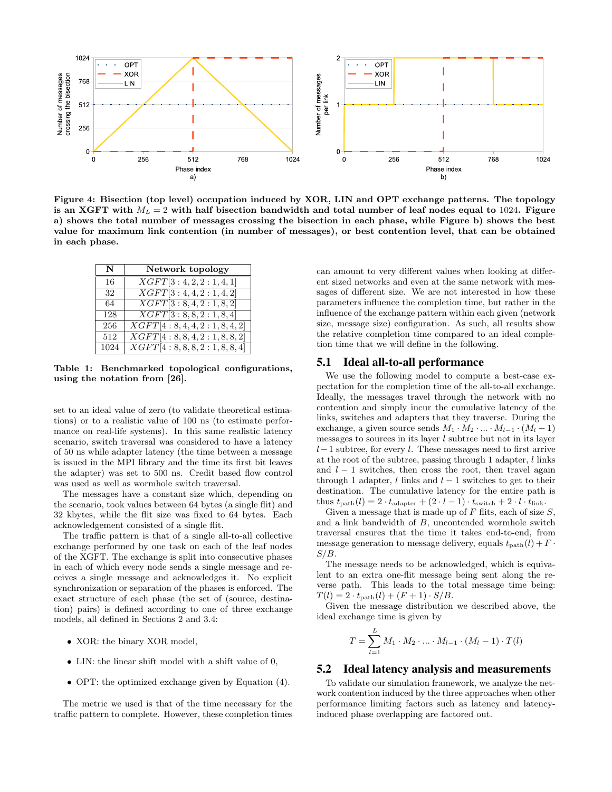

Figure 4: Bisection (top level) occupation induced by XOR, LIN and OPT exchange patterns. The topology is an XGFT with  $M_L = 2$  with half bisection bandwidth and total number of leaf nodes equal to 1024. Figure a) shows the total number of messages crossing the bisection in each phase, while Figure b) shows the best value for maximum link contention (in number of messages), or best contention level, that can be obtained in each phase.

| N    | Network topology                     |
|------|--------------------------------------|
| 16   | XGFT[3:4,2,2:1,4,1]                  |
| 32   | $\overline{XG}FT[3:4,4,2:1,4,2]$     |
| 64   | $\overline{XGFT[3:8,4,2:1,8,2]}$     |
| 128  | XGFT[3:8, 8, 2:1, 8, 4]              |
| 256  | $\overline{XGFT[4:8,4,4,2:1,8,4,2]}$ |
| 512  | XGFT[4:8, 8, 4, 2:1, 8, 8, 2]        |
| 1024 | XGFT[4:8, 8, 8, 2: 1, 8, 8, 4]       |

Table 1: Benchmarked topological configurations, using the notation from [26].

set to an ideal value of zero (to validate theoretical estimations) or to a realistic value of 100 ns (to estimate performance on real-life systems). In this same realistic latency scenario, switch traversal was considered to have a latency of 50 ns while adapter latency (the time between a message is issued in the MPI library and the time its first bit leaves the adapter) was set to 500 ns. Credit based flow control was used as well as wormhole switch traversal.

The messages have a constant size which, depending on the scenario, took values between 64 bytes (a single flit) and 32 kbytes, while the flit size was fixed to 64 bytes. Each acknowledgement consisted of a single flit.

The traffic pattern is that of a single all-to-all collective exchange performed by one task on each of the leaf nodes of the XGFT. The exchange is split into consecutive phases in each of which every node sends a single message and receives a single message and acknowledges it. No explicit synchronization or separation of the phases is enforced. The exact structure of each phase (the set of (source, destination) pairs) is defined according to one of three exchange models, all defined in Sections 2 and 3.4:

- XOR: the binary XOR model,
- LIN: the linear shift model with a shift value of 0,
- OPT: the optimized exchange given by Equation (4).

The metric we used is that of the time necessary for the traffic pattern to complete. However, these completion times

can amount to very different values when looking at different sized networks and even at the same network with messages of different size. We are not interested in how these parameters influence the completion time, but rather in the influence of the exchange pattern within each given (network size, message size) configuration. As such, all results show the relative completion time compared to an ideal completion time that we will define in the following.

## 5.1 Ideal all-to-all performance

We use the following model to compute a best-case expectation for the completion time of the all-to-all exchange. Ideally, the messages travel through the network with no contention and simply incur the cumulative latency of the links, switches and adapters that they traverse. During the exchange, a given source sends  $M_1 \cdot M_2 \cdot ... \cdot M_{l-1} \cdot (M_l - 1)$ messages to sources in its layer l subtree but not in its layer  $l-1$  subtree, for every l. These messages need to first arrive at the root of the subtree, passing through 1 adapter,  $l$  links and  $l - 1$  switches, then cross the root, then travel again through 1 adapter, l links and  $l-1$  switches to get to their destination. The cumulative latency for the entire path is thus  $t_{\text{path}}(l) = 2 \cdot t_{\text{adanter}} + (2 \cdot l - 1) \cdot t_{\text{switch}} + 2 \cdot l \cdot t_{\text{link}}.$ 

Given a message that is made up of  $F$  flits, each of size  $S$ . and a link bandwidth of B, uncontended wormhole switch traversal ensures that the time it takes end-to-end, from message generation to message delivery, equals  $t_{\text{path}}(l) + F$ .  $S/B$ .

The message needs to be acknowledged, which is equivalent to an extra one-flit message being sent along the reverse path. This leads to the total message time being:  $T(l) = 2 \cdot t_{\text{path}}(l) + (F + 1) \cdot S/B.$ 

Given the message distribution we described above, the ideal exchange time is given by

$$
T = \sum_{l=1}^{L} M_1 \cdot M_2 \cdot \ldots \cdot M_{l-1} \cdot (M_l - 1) \cdot T(l)
$$

## 5.2 Ideal latency analysis and measurements

To validate our simulation framework, we analyze the network contention induced by the three approaches when other performance limiting factors such as latency and latencyinduced phase overlapping are factored out.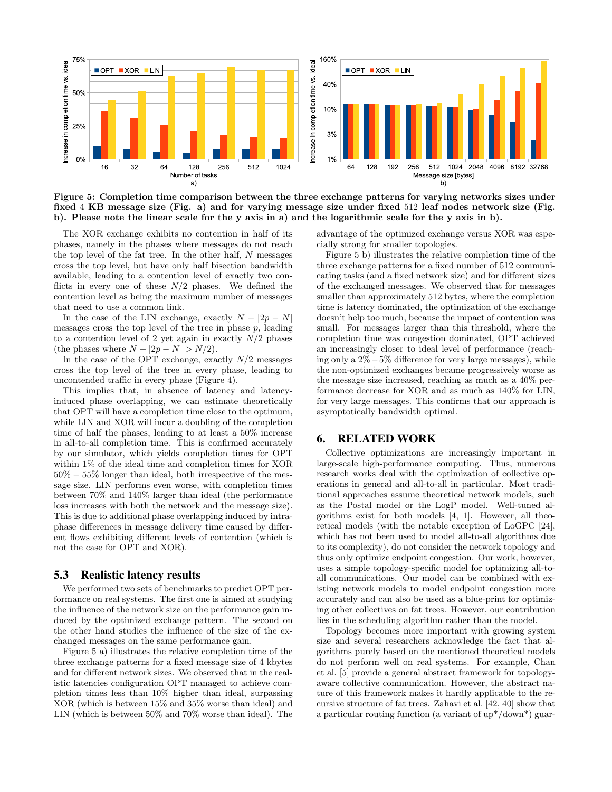

Figure 5: Completion time comparison between the three exchange patterns for varying networks sizes under fixed 4 KB message size (Fig. a) and for varying message size under fixed 512 leaf nodes network size (Fig. b). Please note the linear scale for the y axis in a) and the logarithmic scale for the y axis in b).

The XOR exchange exhibits no contention in half of its phases, namely in the phases where messages do not reach the top level of the fat tree. In the other half, N messages cross the top level, but have only half bisection bandwidth available, leading to a contention level of exactly two conflicts in every one of these  $N/2$  phases. We defined the contention level as being the maximum number of messages that need to use a common link.

In the case of the LIN exchange, exactly  $N - |2p - N|$ messages cross the top level of the tree in phase  $p$ , leading to a contention level of 2 yet again in exactly  $N/2$  phases (the phases where  $N - |2p - N| > N/2$ ).

In the case of the OPT exchange, exactly  $N/2$  messages cross the top level of the tree in every phase, leading to uncontended traffic in every phase (Figure 4).

This implies that, in absence of latency and latencyinduced phase overlapping, we can estimate theoretically that OPT will have a completion time close to the optimum, while LIN and XOR will incur a doubling of the completion time of half the phases, leading to at least a 50% increase in all-to-all completion time. This is confirmed accurately by our simulator, which yields completion times for OPT within 1% of the ideal time and completion times for XOR 50% − 55% longer than ideal, both irrespective of the message size. LIN performs even worse, with completion times between 70% and 140% larger than ideal (the performance loss increases with both the network and the message size). This is due to additional phase overlapping induced by intraphase differences in message delivery time caused by different flows exhibiting different levels of contention (which is not the case for OPT and XOR).

#### 5.3 Realistic latency results

We performed two sets of benchmarks to predict OPT performance on real systems. The first one is aimed at studying the influence of the network size on the performance gain induced by the optimized exchange pattern. The second on the other hand studies the influence of the size of the exchanged messages on the same performance gain.

Figure 5 a) illustrates the relative completion time of the three exchange patterns for a fixed message size of 4 kbytes and for different network sizes. We observed that in the realistic latencies configuration OPT managed to achieve completion times less than 10% higher than ideal, surpassing XOR (which is between 15% and 35% worse than ideal) and LIN (which is between 50% and 70% worse than ideal). The

advantage of the optimized exchange versus XOR was especially strong for smaller topologies.

Figure 5 b) illustrates the relative completion time of the three exchange patterns for a fixed number of 512 communicating tasks (and a fixed network size) and for different sizes of the exchanged messages. We observed that for messages smaller than approximately 512 bytes, where the completion time is latency dominated, the optimization of the exchange doesn't help too much, because the impact of contention was small. For messages larger than this threshold, where the completion time was congestion dominated, OPT achieved an increasingly closer to ideal level of performance (reaching only a 2%−5% difference for very large messages), while the non-optimized exchanges became progressively worse as the message size increased, reaching as much as a 40% performance decrease for XOR and as much as 140% for LIN, for very large messages. This confirms that our approach is asymptotically bandwidth optimal.

## 6. RELATED WORK

Collective optimizations are increasingly important in large-scale high-performance computing. Thus, numerous research works deal with the optimization of collective operations in general and all-to-all in particular. Most traditional approaches assume theoretical network models, such as the Postal model or the LogP model. Well-tuned algorithms exist for both models [4, 1]. However, all theoretical models (with the notable exception of LoGPC [24], which has not been used to model all-to-all algorithms due to its complexity), do not consider the network topology and thus only optimize endpoint congestion. Our work, however, uses a simple topology-specific model for optimizing all-toall communications. Our model can be combined with existing network models to model endpoint congestion more accurately and can also be used as a blue-print for optimizing other collectives on fat trees. However, our contribution lies in the scheduling algorithm rather than the model.

Topology becomes more important with growing system size and several researchers acknowledge the fact that algorithms purely based on the mentioned theoretical models do not perform well on real systems. For example, Chan et al. [5] provide a general abstract framework for topologyaware collective communication. However, the abstract nature of this framework makes it hardly applicable to the recursive structure of fat trees. Zahavi et al. [42, 40] show that a particular routing function (a variant of up\*/down\*) guar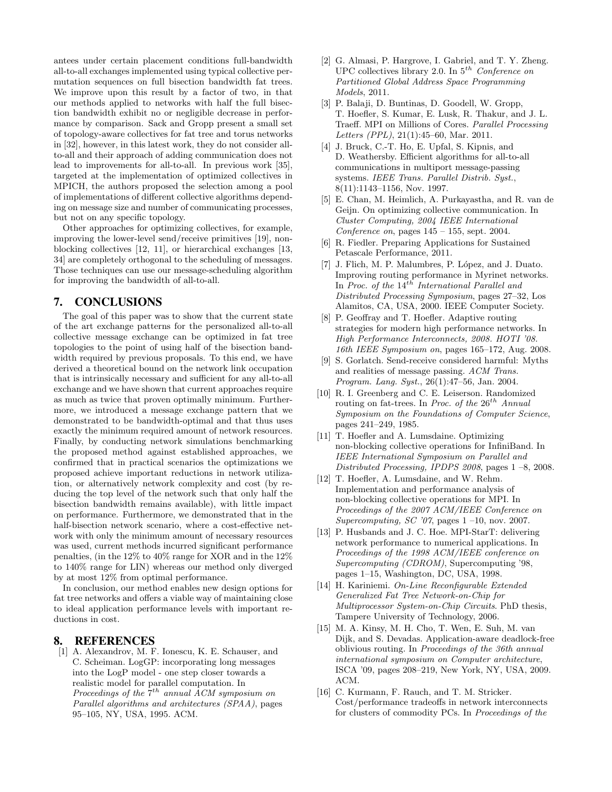antees under certain placement conditions full-bandwidth all-to-all exchanges implemented using typical collective permutation sequences on full bisection bandwidth fat trees. We improve upon this result by a factor of two, in that our methods applied to networks with half the full bisection bandwidth exhibit no or negligible decrease in performance by comparison. Sack and Gropp present a small set of topology-aware collectives for fat tree and torus networks in [32], however, in this latest work, they do not consider allto-all and their approach of adding communication does not lead to improvements for all-to-all. In previous work [35], targeted at the implementation of optimized collectives in MPICH, the authors proposed the selection among a pool of implementations of different collective algorithms depending on message size and number of communicating processes, but not on any specific topology.

Other approaches for optimizing collectives, for example, improving the lower-level send/receive primitives [19], nonblocking collectives [12, 11], or hierarchical exchanges [13, 34] are completely orthogonal to the scheduling of messages. Those techniques can use our message-scheduling algorithm for improving the bandwidth of all-to-all.

## 7. CONCLUSIONS

The goal of this paper was to show that the current state of the art exchange patterns for the personalized all-to-all collective message exchange can be optimized in fat tree topologies to the point of using half of the bisection bandwidth required by previous proposals. To this end, we have derived a theoretical bound on the network link occupation that is intrinsically necessary and sufficient for any all-to-all exchange and we have shown that current approaches require as much as twice that proven optimally minimum. Furthermore, we introduced a message exchange pattern that we demonstrated to be bandwidth-optimal and that thus uses exactly the minimum required amount of network resources. Finally, by conducting network simulations benchmarking the proposed method against established approaches, we confirmed that in practical scenarios the optimizations we proposed achieve important reductions in network utilization, or alternatively network complexity and cost (by reducing the top level of the network such that only half the bisection bandwidth remains available), with little impact on performance. Furthermore, we demonstrated that in the half-bisection network scenario, where a cost-effective network with only the minimum amount of necessary resources was used, current methods incurred significant performance penalties, (in the 12% to 40% range for XOR and in the 12% to 140% range for LIN) whereas our method only diverged by at most 12% from optimal performance.

In conclusion, our method enables new design options for fat tree networks and offers a viable way of maintaining close to ideal application performance levels with important reductions in cost.

# 8. REFERENCES

[1] A. Alexandrov, M. F. Ionescu, K. E. Schauser, and C. Scheiman. LogGP: incorporating long messages into the LogP model - one step closer towards a realistic model for parallel computation. In Proceedings of the  $7^{th}$  annual ACM symposium on Parallel algorithms and architectures (SPAA), pages 95–105, NY, USA, 1995. ACM.

- [2] G. Almasi, P. Hargrove, I. Gabriel, and T. Y. Zheng. UPC collectives library 2.0. In  $5^{th}$  Conference on Partitioned Global Address Space Programming Models, 2011.
- [3] P. Balaji, D. Buntinas, D. Goodell, W. Gropp, T. Hoefler, S. Kumar, E. Lusk, R. Thakur, and J. L. Traeff. MPI on Millions of Cores. Parallel Processing Letters (PPL), 21(1):45–60, Mar. 2011.
- [4] J. Bruck, C.-T. Ho, E. Upfal, S. Kipnis, and D. Weathersby. Efficient algorithms for all-to-all communications in multiport message-passing systems. IEEE Trans. Parallel Distrib. Syst., 8(11):1143–1156, Nov. 1997.
- [5] E. Chan, M. Heimlich, A. Purkayastha, and R. van de Geijn. On optimizing collective communication. In Cluster Computing, 2004 IEEE International Conference on, pages  $145 - 155$ , sept. 2004.
- [6] R. Fiedler. Preparing Applications for Sustained Petascale Performance, 2011.
- [7] J. Flich, M. P. Malumbres, P. López, and J. Duato. Improving routing performance in Myrinet networks. In Proc. of the  $14^{th}$  International Parallel and Distributed Processing Symposium, pages 27–32, Los Alamitos, CA, USA, 2000. IEEE Computer Society.
- [8] P. Geoffray and T. Hoefler. Adaptive routing strategies for modern high performance networks. In High Performance Interconnects, 2008. HOTI '08. 16th IEEE Symposium on, pages 165–172, Aug. 2008.
- [9] S. Gorlatch. Send-receive considered harmful: Myths and realities of message passing. ACM Trans. Program. Lang. Syst., 26(1):47–56, Jan. 2004.
- [10] R. I. Greenberg and C. E. Leiserson. Randomized routing on fat-trees. In Proc. of the  $26^{th}$  Annual Symposium on the Foundations of Computer Science, pages 241–249, 1985.
- [11] T. Hoefler and A. Lumsdaine. Optimizing non-blocking collective operations for InfiniBand. In IEEE International Symposium on Parallel and Distributed Processing, IPDPS 2008, pages 1 –8, 2008.
- [12] T. Hoefler, A. Lumsdaine, and W. Rehm. Implementation and performance analysis of non-blocking collective operations for MPI. In Proceedings of the 2007 ACM/IEEE Conference on Supercomputing, SC '07, pages  $1-10$ , nov. 2007.
- [13] P. Husbands and J. C. Hoe. MPI-StarT: delivering network performance to numerical applications. In Proceedings of the 1998 ACM/IEEE conference on Supercomputing (CDROM), Supercomputing '98, pages 1–15, Washington, DC, USA, 1998.
- [14] H. Kariniemi. On-Line Reconfigurable Extended Generalized Fat Tree Network-on-Chip for Multiprocessor System-on-Chip Circuits. PhD thesis, Tampere University of Technology, 2006.
- [15] M. A. Kinsy, M. H. Cho, T. Wen, E. Suh, M. van Dijk, and S. Devadas. Application-aware deadlock-free oblivious routing. In Proceedings of the 36th annual international symposium on Computer architecture, ISCA '09, pages 208–219, New York, NY, USA, 2009. ACM.
- [16] C. Kurmann, F. Rauch, and T. M. Stricker. Cost/performance tradeoffs in network interconnects for clusters of commodity PCs. In Proceedings of the